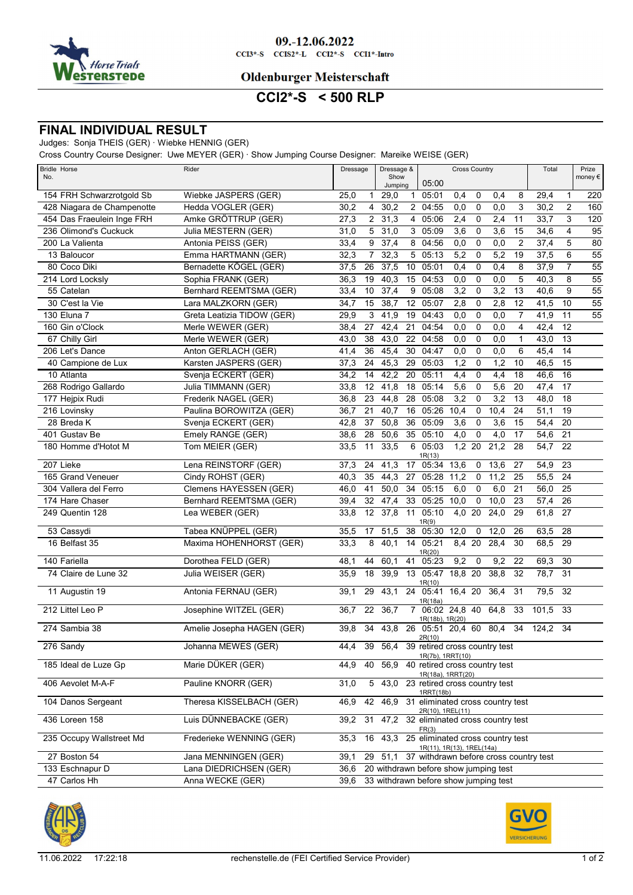

#### 09.-12.06.2022  $CCI3*-S$   $CCI52*-L$   $CCI2*-S$   $CCI1*-Intro$

## **Oldenburger Meisterschaft**

# **CCI2\*-S < 500 RLP**

### **FINAL INDIVIDUAL RESULT**

#### Judges: Sonja THEIS (GER) · Wiebke HENNIG (GER)

Cross Country Course Designer: Uwe MEYER (GER) · Show Jumping Course Designer: Mareike WEISE (GER)

| <b>Bridle Horse</b><br>No. | Rider                         | Dressage                | Dressage &<br>Show<br>Jumping         | 05:00                                                   |                  | <b>Cross Country</b> |      |                |       | Total           | Prize<br>money $\epsilon$ |
|----------------------------|-------------------------------|-------------------------|---------------------------------------|---------------------------------------------------------|------------------|----------------------|------|----------------|-------|-----------------|---------------------------|
| 154 FRH Schwarzrotgold Sb  | Wiebke JASPERS (GER)          | 25,0<br>$\mathbf{1}$    | 29,0                                  | 05:01<br>$\mathbf{1}$                                   | 0,4              | 0                    | 0,4  | 8              | 29,4  | $\mathbf{1}$    | 220                       |
| 428 Niagara de Champenotte | Hedda VOGLER (GER)            | 30,2<br>4               | 30,2                                  | 2 04:55                                                 | 0,0              | $\mathbf 0$          | 0,0  | 3              | 30,2  | 2               | 160                       |
| 454 Das Fraeulein Inge FRH | Amke GRÖTTRUP (GER)           | 2<br>27,3               | 31,3                                  | 05:06<br>4                                              | 2,4              | $\mathbf 0$          | 2,4  | 11             | 33,7  | 3               | 120                       |
| 236 Olimond's Cuckuck      | Julia MESTERN (GER)           | 5<br>31,0               | 31,0                                  | 3<br>05:09                                              | $\overline{3,6}$ | $\mathbf 0$          | 3,6  | 15             | 34,6  | 4               | $\overline{95}$           |
| 200 La Valienta            | Antonia PEISS (GER)           | 9<br>33,4               | 37,4<br>8                             | 04:56                                                   | 0,0              | $\mathbf 0$          | 0,0  | $\overline{2}$ | 37,4  | 5               | 80                        |
| 13 Baloucor                | Emma HARTMANN (GER)           | 32,3<br>$\overline{7}$  | 32,3                                  | 5<br>05:13                                              | 5,2              | 0                    | 5,2  | 19             | 37,5  | 6               | 55                        |
| 80 Coco Diki               | Bernadette KÖGEL (GER)        | 26<br>37,5              | 37,5<br>10                            | 05:01                                                   | 0,4              | $\mathbf 0$          | 0,4  | 8              | 37,9  | $\overline{7}$  | $\overline{55}$           |
| 214 Lord Locksly           | Sophia FRANK (GER)            | 36,3<br>19              | 40,3<br>15                            | 04:53                                                   | 0,0              | $\mathbf 0$          | 0,0  | 5              | 40,3  | 8               | $\overline{55}$           |
| 55 Catelan                 | Bernhard REEMTSMA (GER)       | 10<br>33,4              | 37,4<br>9                             | 05:08                                                   | 3,2              | $\mathbf 0$          | 3,2  | 13             | 40,6  | 9               | 55                        |
| 30 C'est la Vie            | Lara MALZKORN (GER)           | 34,7<br>15              | 38,7<br>12                            | 05:07                                                   | 2,8              | $\mathbf 0$          | 2,8  | 12             | 41,5  | 10              | $\overline{55}$           |
| 130 Eluna 7                | Greta Leatizia TIDOW (GER)    | 3<br>29,9               | 41,9<br>19                            | 04:43                                                   | 0,0              | $\mathbf 0$          | 0,0  | $\overline{7}$ | 41,9  | 11              | $\overline{55}$           |
| 160 Gin o'Clock            | Merle WEWER (GER)             | 38,4<br>27              | 21<br>42,4                            | 04:54                                                   | 0,0              | $\mathbf 0$          | 0,0  | 4              | 42,4  | 12              |                           |
| 67 Chilly Girl             | Merle WEWER (GER)             | 38<br>43,0              | 43,0<br>22                            | 04:58                                                   | 0,0              | $\mathbf 0$          | 0,0  | $\mathbf{1}$   | 43,0  | 13              |                           |
| 206 Let's Dance            | Anton GERLACH (GER)           | 41,4<br>36              | 45,4<br>30                            | 04:47                                                   | 0,0              | 0                    | 0,0  | 6              | 45,4  | 14              |                           |
| 40 Campione de Lux         | Karsten JASPERS (GER)         | 24<br>37,3              | 45,3<br>29                            | 05:03                                                   | 1,2              | $\mathbf 0$          | 1,2  | 10             | 46,5  | 15              |                           |
| 10 Atlanta                 | Svenja ECKERT (GER)           | 14<br>34,2              | 42,2<br>20                            | 05:11                                                   | 4,4              | $\mathbf 0$          | 4,4  | 18             | 46,6  | 16              |                           |
| 268 Rodrigo Gallardo       | Julia TIMMANN (GER)           | 12<br>33,8              | 41,8<br>18                            | 05:14                                                   | 5,6              | 0                    | 5,6  | 20             | 47,4  | 17              |                           |
| 177 Hejpix Rudi            | Frederik NAGEL (GER)          | 23<br>36,8              | 28<br>44,8                            | 05:08                                                   | $\overline{3,2}$ | $\mathbf 0$          | 3,2  | 13             | 48,0  | 18              |                           |
| 216 Lovinsky               | Paulina BOROWITZA (GER)       | 21<br>36,7              | 40,7<br>16                            | 05:26                                                   | 10,4             | 0                    | 10,4 | 24             | 51,1  | 19              |                           |
| 28 Breda K                 | Svenja ECKERT (GER)           | $\overline{37}$<br>42,8 | 50,8<br>36                            | 05:09                                                   | $\overline{3,6}$ | $\mathbf 0$          | 3,6  | 15             | 54,4  | 20              |                           |
| 401 Gustav Be              | Emely RANGE (GER)             | 28<br>38,6              | 50,6<br>35                            | 05:10                                                   | 4,0              | 0                    | 4,0  | 17             | 54,6  | 21              |                           |
| 180 Homme d'Hotot M        | Tom MEIER (GER)               | 33,5<br>11              | 33,5<br>$6\overline{6}$               | 05:03<br>1R(13)                                         | 1,2              | 20                   | 21,2 | 28             | 54,7  | $\overline{22}$ |                           |
| 207 Lieke                  | Lena REINSTORF (GER)          | 24<br>37,3              | 41,3<br>17                            | 05:34                                                   | 13,6             | 0                    | 13,6 | 27             | 54,9  | 23              |                           |
| 165 Grand Veneuer          | Cindy ROHST (GER)             | 35<br>40,3              | 44,3<br>27                            | 05:28                                                   | 11,2             | 0                    | 11,2 | 25             | 55,5  | 24              |                           |
| 304 Vallera del Ferro      | <b>Clemens HAYESSEN (GER)</b> | 41<br>46,0              | 50,0<br>34                            | 05:15                                                   | 6,0              | $\pmb{0}$            | 6,0  | 21             | 56,0  | 25              |                           |
| 174 Hare Chaser            | Bernhard REEMTSMA (GER)       | 32<br>39,4              | 33<br>47,4                            | 05:25                                                   | 10,0             | 0                    | 10,0 | 23             | 57,4  | 26              |                           |
| 249 Quentin 128            | Lea WEBER (GER)               | 12<br>33,8              | 37,8<br>11                            | 05:10<br>1R(9)                                          | 4,0              | 20                   | 24,0 | 29             | 61,8  | 27              |                           |
| 53 Cassydi                 | Tabea KNÜPPEL (GER)           | 35,5<br>17              | 51,5<br>38                            | 05:30 12,0                                              |                  | 0                    | 12,0 | 26             | 63,5  | 28              |                           |
| 16 Belfast 35              | Maxima HOHENHORST (GER)       | 8<br>33,3               | 40,1<br>14                            | 05:21<br>1R(20)                                         | $8,4$ 20         |                      | 28,4 | 30             | 68,5  | 29              |                           |
| 140 Fariella               | Dorothea FELD (GER)           | 48,1<br>44              | 41<br>60,1                            | 05:23                                                   | 9,2              | 0                    | 9,2  | 22             | 69,3  | 30              |                           |
| 74 Claire de Lune 32       | Julia WEISER (GER)            | 18<br>35,9              | 39,9<br>13                            | 05:47 18,8 20                                           |                  |                      | 38,8 | 32             | 78,7  | 31              |                           |
| 11 Augustin 19             | Antonia FERNAU (GER)          | 29<br>39,1              | 43,1                                  | 1R(10)<br>24 05:41 16.4 20                              |                  |                      | 36,4 | 31             | 79,5  | 32              |                           |
| 212 Littel Leo P           | Josephine WITZEL (GER)        | 22<br>36,7              | 36,7                                  | 1R(18a)<br>7 06:02 24,8 40                              |                  |                      | 64,8 | 33             | 101,5 | 33              |                           |
| 274 Sambia 38              | Amelie Josepha HAGEN (GER)    | 39,8<br>34              | 43,8                                  | 1R(18b), 1R(20)<br>26 05:51 20.4 60                     |                  |                      | 80,4 | 34             | 124,2 | $\overline{34}$ |                           |
| 276 Sandy                  | Johanna MEWES (GER)           | 44,4                    | 39 56,4 39 retired cross country test | 2R(10)                                                  |                  |                      |      |                |       |                 |                           |
| 185 Ideal de Luze Gp       | Marie DÜKER (GER)             | 44,9<br>40              | 56,9                                  | 1R(7b), 1RRT(10)<br>40 retired cross country test       |                  |                      |      |                |       |                 |                           |
| 406 Aevolet M-A-F          | Pauline KNORR (GER)           | 5<br>31,0               |                                       | 1R(18a), 1RRT(20)<br>43,0 23 retired cross country test |                  |                      |      |                |       |                 |                           |
|                            |                               |                         |                                       | 1RRT(18b)                                               |                  |                      |      |                |       |                 |                           |
| 104 Danos Sergeant         | Theresa KISSELBACH (GER)      | 46,9                    | 42 46,9                               | 31 eliminated cross country test<br>2R(10), 1REL(11)    |                  |                      |      |                |       |                 |                           |
| 436 Loreen 158             | Luis DÜNNEBACKE (GER)         | 31<br>39,2              | 47,2 32 eliminated cross country test | FR(3)                                                   |                  |                      |      |                |       |                 |                           |
| 235 Occupy Wallstreet Md   | Frederieke WENNING (GER)      | 35,3<br>16              | 43,3 25 eliminated cross country test | 1R(11), 1R(13), 1REL(14a)                               |                  |                      |      |                |       |                 |                           |
| 27 Boston 54               | Jana MENNINGEN (GER)          | 39,1<br>29              |                                       | 51,1 37 withdrawn before cross country test             |                  |                      |      |                |       |                 |                           |
| 133 Eschnapur D            | Lana DIEDRICHSEN (GER)        | 36,6                    | 20 withdrawn before show jumping test |                                                         |                  |                      |      |                |       |                 |                           |
| 47 Carlos Hh               | Anna WECKE (GER)              | 39,6                    | 33 withdrawn before show jumping test |                                                         |                  |                      |      |                |       |                 |                           |